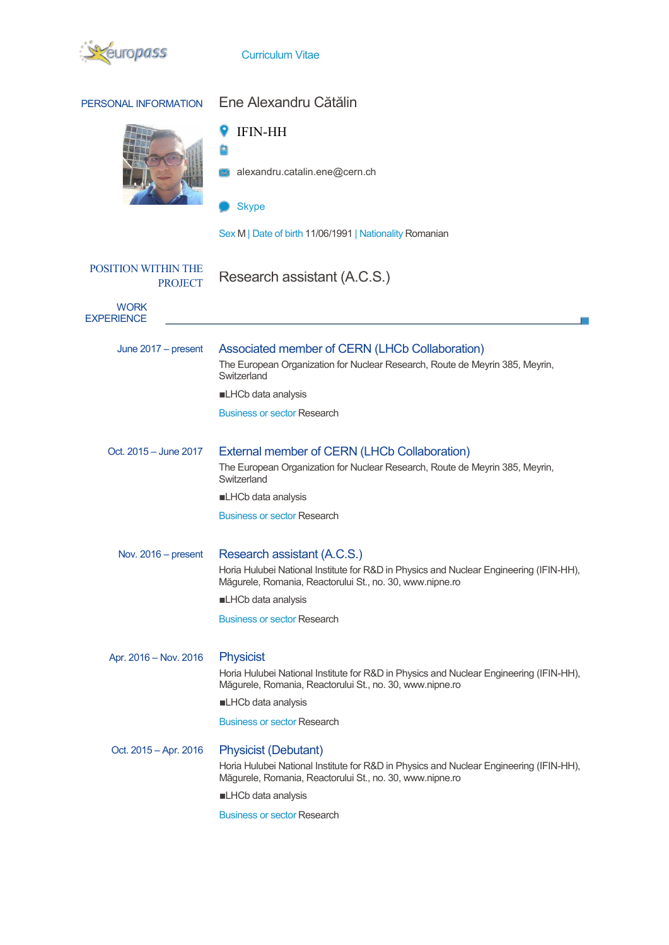

| PERSONAL INFORMATION                         | Ene Alexandru Cătălin                                                                                                                                                                                                                         |  |  |
|----------------------------------------------|-----------------------------------------------------------------------------------------------------------------------------------------------------------------------------------------------------------------------------------------------|--|--|
|                                              | <b>IFIN-HH</b>                                                                                                                                                                                                                                |  |  |
|                                              | alexandru.catalin.ene@cern.ch                                                                                                                                                                                                                 |  |  |
|                                              | <b>Skype</b>                                                                                                                                                                                                                                  |  |  |
|                                              | Sex M   Date of birth 11/06/1991   Nationality Romanian                                                                                                                                                                                       |  |  |
| <b>POSITION WITHIN THE</b><br><b>PROJECT</b> | Research assistant (A.C.S.)                                                                                                                                                                                                                   |  |  |
| <b>WORK</b><br><b>EXPERIENCE</b>             |                                                                                                                                                                                                                                               |  |  |
| June 2017 - present                          | Associated member of CERN (LHCb Collaboration)<br>The European Organization for Nuclear Research, Route de Meyrin 385, Meyrin,<br>Switzerland                                                                                                 |  |  |
|                                              | LHCb data analysis                                                                                                                                                                                                                            |  |  |
|                                              | <b>Business or sector Research</b>                                                                                                                                                                                                            |  |  |
| Oct. 2015 - June 2017                        | External member of CERN (LHCb Collaboration)<br>The European Organization for Nuclear Research, Route de Meyrin 385, Meyrin,<br>Switzerland                                                                                                   |  |  |
|                                              | LHCb data analysis                                                                                                                                                                                                                            |  |  |
|                                              | <b>Business or sector Research</b>                                                                                                                                                                                                            |  |  |
| Nov. 2016 - present                          | Research assistant (A.C.S.)                                                                                                                                                                                                                   |  |  |
|                                              | Horia Hulubei National Institute for R&D in Physics and Nuclear Engineering (IFIN-HH),<br>Măgurele, Romania, Reactorului St., no. 30, www.nipne.ro                                                                                            |  |  |
|                                              | LHCb data analysis                                                                                                                                                                                                                            |  |  |
|                                              | <b>Business or sector Research</b>                                                                                                                                                                                                            |  |  |
| Apr. 2016 - Nov. 2016                        | <b>Physicist</b><br>Horia Hulubei National Institute for R&D in Physics and Nuclear Engineering (IFIN-HH),<br>Măgurele, Romania, Reactorului St., no. 30, www.nipne.ro<br>LHCb data analysis<br><b>Business or sector Research</b>            |  |  |
| Oct. 2015 - Apr. 2016                        | <b>Physicist (Debutant)</b><br>Horia Hulubei National Institute for R&D in Physics and Nuclear Engineering (IFIN-HH),<br>Măgurele, Romania, Reactorului St., no. 30, www.nipne.ro<br>LHCb data analysis<br><b>Business or sector Research</b> |  |  |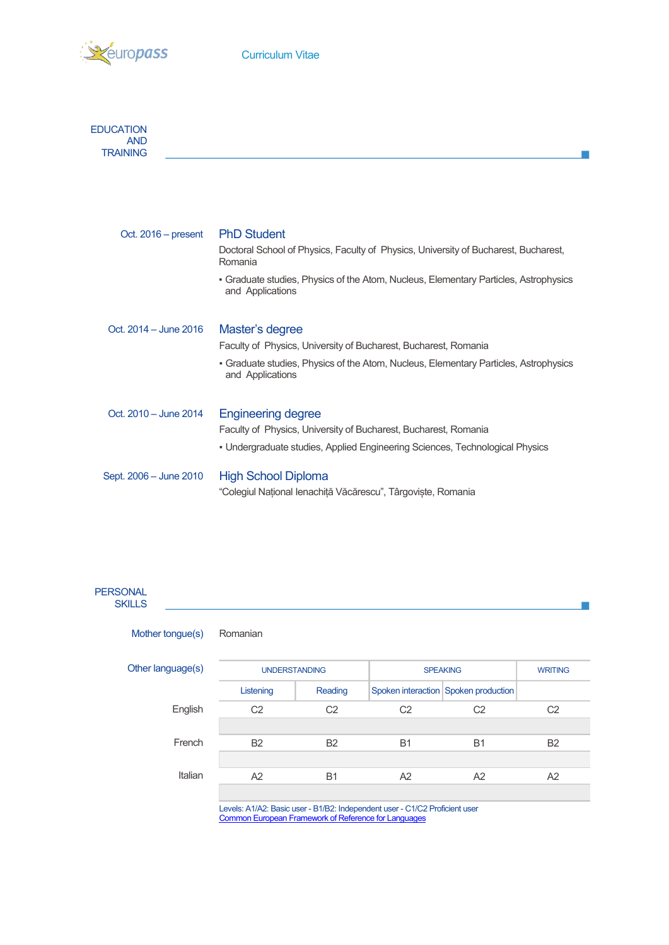



| Oct. $2016$ – present  | <b>PhD Student</b><br>Doctoral School of Physics, Faculty of Physics, University of Bucharest, Bucharest,<br>Romania |
|------------------------|----------------------------------------------------------------------------------------------------------------------|
|                        | • Graduate studies, Physics of the Atom, Nucleus, Elementary Particles, Astrophysics<br>and Applications             |
| Oct. 2014 – June 2016  | Master's degree                                                                                                      |
|                        | Faculty of Physics, University of Bucharest, Bucharest, Romania                                                      |
|                        | • Graduate studies, Physics of the Atom, Nucleus, Elementary Particles, Astrophysics<br>and Applications             |
| Oct. 2010 - June 2014  | <b>Engineering degree</b>                                                                                            |
|                        | Faculty of Physics, University of Bucharest, Bucharest, Romania                                                      |
|                        | • Undergraduate studies, Applied Engineering Sciences, Technological Physics                                         |
| Sept. 2006 – June 2010 | <b>High School Diploma</b>                                                                                           |
|                        | "Colegiul Național Ienachiță Văcărescu", Târgoviște, Romania                                                         |

 $\mathbb{R}^n$ 

 $\mathcal{L}_{\mathcal{A}}$ 

## **PERSONAL SKILLS**

| Mother tongue(s) | Romanian |
|------------------|----------|
|------------------|----------|

| Other language(s) | <b>UNDERSTANDING</b> |                | <b>SPEAKING</b> | <b>WRITING</b>                       |                |
|-------------------|----------------------|----------------|-----------------|--------------------------------------|----------------|
|                   | Listening            | Reading        |                 | Spoken interaction Spoken production |                |
| English           | C <sub>2</sub>       | C <sub>2</sub> | C <sub>2</sub>  | C <sub>2</sub>                       | C <sub>2</sub> |
|                   |                      |                |                 |                                      |                |
| French            | <b>B2</b>            | <b>B2</b>      | <b>B1</b>       | <b>B1</b>                            | <b>B2</b>      |
|                   |                      |                |                 |                                      |                |
| Italian           | A2                   | <b>B1</b>      | A2              | A2                                   | A2             |
|                   |                      |                |                 |                                      |                |

Levels: A1/A2: Basic user - B1/B2: Independent user - C1/C2 Proficient user Common European Framework of Reference for Languages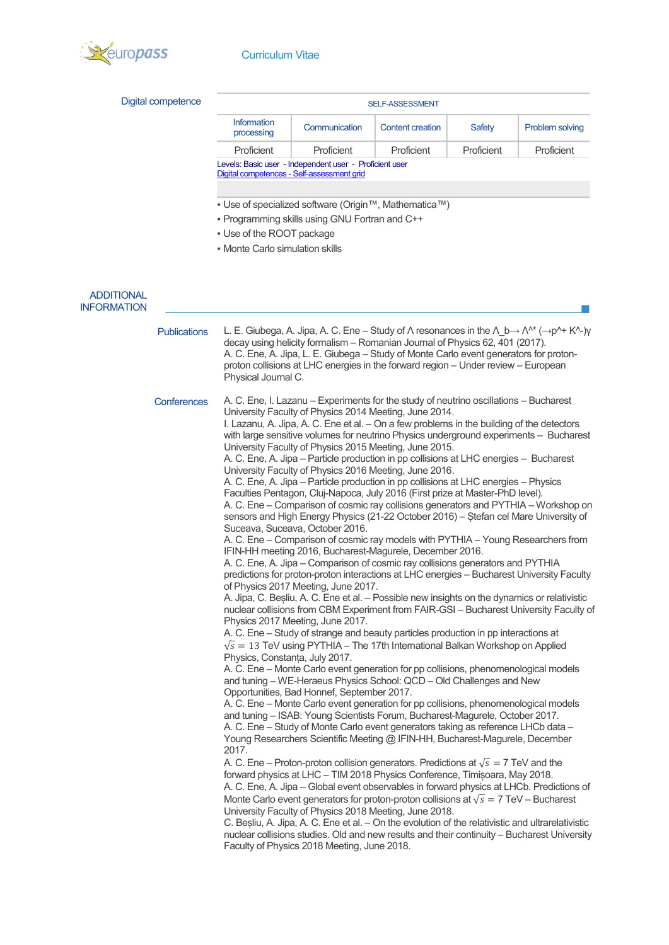

| Digital competence  |                                                                                                                                                                                                                                                                                                                                                                                                                                                                                                                                                                                                                                                                                                                                                                                                                                                                                                                                                                                                                                                                                                                                                                                                                                                                                                                                                                                                                                                                                                                                                                                                                                                                                                                                                                                                                                                                                                                                                                                                                                                                                                                                                                                                                                                                                                                                                                                                                                                                                                                                                                                                                                                                                                                                                                                                                                                                                                                                                                                                                       | <b>SELF-ASSESSMENT</b>                                                                                                                                                                                                                                                                                                                                                                                                              |                         |            |                 |  |
|---------------------|-----------------------------------------------------------------------------------------------------------------------------------------------------------------------------------------------------------------------------------------------------------------------------------------------------------------------------------------------------------------------------------------------------------------------------------------------------------------------------------------------------------------------------------------------------------------------------------------------------------------------------------------------------------------------------------------------------------------------------------------------------------------------------------------------------------------------------------------------------------------------------------------------------------------------------------------------------------------------------------------------------------------------------------------------------------------------------------------------------------------------------------------------------------------------------------------------------------------------------------------------------------------------------------------------------------------------------------------------------------------------------------------------------------------------------------------------------------------------------------------------------------------------------------------------------------------------------------------------------------------------------------------------------------------------------------------------------------------------------------------------------------------------------------------------------------------------------------------------------------------------------------------------------------------------------------------------------------------------------------------------------------------------------------------------------------------------------------------------------------------------------------------------------------------------------------------------------------------------------------------------------------------------------------------------------------------------------------------------------------------------------------------------------------------------------------------------------------------------------------------------------------------------------------------------------------------------------------------------------------------------------------------------------------------------------------------------------------------------------------------------------------------------------------------------------------------------------------------------------------------------------------------------------------------------------------------------------------------------------------------------------------------------|-------------------------------------------------------------------------------------------------------------------------------------------------------------------------------------------------------------------------------------------------------------------------------------------------------------------------------------------------------------------------------------------------------------------------------------|-------------------------|------------|-----------------|--|
|                     | Information<br>processing                                                                                                                                                                                                                                                                                                                                                                                                                                                                                                                                                                                                                                                                                                                                                                                                                                                                                                                                                                                                                                                                                                                                                                                                                                                                                                                                                                                                                                                                                                                                                                                                                                                                                                                                                                                                                                                                                                                                                                                                                                                                                                                                                                                                                                                                                                                                                                                                                                                                                                                                                                                                                                                                                                                                                                                                                                                                                                                                                                                             | Communication                                                                                                                                                                                                                                                                                                                                                                                                                       | <b>Content creation</b> | Safety     | Problem solving |  |
|                     | Proficient                                                                                                                                                                                                                                                                                                                                                                                                                                                                                                                                                                                                                                                                                                                                                                                                                                                                                                                                                                                                                                                                                                                                                                                                                                                                                                                                                                                                                                                                                                                                                                                                                                                                                                                                                                                                                                                                                                                                                                                                                                                                                                                                                                                                                                                                                                                                                                                                                                                                                                                                                                                                                                                                                                                                                                                                                                                                                                                                                                                                            | Proficient                                                                                                                                                                                                                                                                                                                                                                                                                          | Proficient              | Proficient | Proficient      |  |
|                     |                                                                                                                                                                                                                                                                                                                                                                                                                                                                                                                                                                                                                                                                                                                                                                                                                                                                                                                                                                                                                                                                                                                                                                                                                                                                                                                                                                                                                                                                                                                                                                                                                                                                                                                                                                                                                                                                                                                                                                                                                                                                                                                                                                                                                                                                                                                                                                                                                                                                                                                                                                                                                                                                                                                                                                                                                                                                                                                                                                                                                       | Levels: Basic user - Independent user - Proficient user<br>Digital competences - Self-assessment grid                                                                                                                                                                                                                                                                                                                               |                         |            |                 |  |
|                     |                                                                                                                                                                                                                                                                                                                                                                                                                                                                                                                                                                                                                                                                                                                                                                                                                                                                                                                                                                                                                                                                                                                                                                                                                                                                                                                                                                                                                                                                                                                                                                                                                                                                                                                                                                                                                                                                                                                                                                                                                                                                                                                                                                                                                                                                                                                                                                                                                                                                                                                                                                                                                                                                                                                                                                                                                                                                                                                                                                                                                       |                                                                                                                                                                                                                                                                                                                                                                                                                                     |                         |            |                 |  |
|                     |                                                                                                                                                                                                                                                                                                                                                                                                                                                                                                                                                                                                                                                                                                                                                                                                                                                                                                                                                                                                                                                                                                                                                                                                                                                                                                                                                                                                                                                                                                                                                                                                                                                                                                                                                                                                                                                                                                                                                                                                                                                                                                                                                                                                                                                                                                                                                                                                                                                                                                                                                                                                                                                                                                                                                                                                                                                                                                                                                                                                                       | ■ Use of specialized software (Origin™, Mathematica™)                                                                                                                                                                                                                                                                                                                                                                               |                         |            |                 |  |
|                     |                                                                                                                                                                                                                                                                                                                                                                                                                                                                                                                                                                                                                                                                                                                                                                                                                                                                                                                                                                                                                                                                                                                                                                                                                                                                                                                                                                                                                                                                                                                                                                                                                                                                                                                                                                                                                                                                                                                                                                                                                                                                                                                                                                                                                                                                                                                                                                                                                                                                                                                                                                                                                                                                                                                                                                                                                                                                                                                                                                                                                       | - Programming skills using GNU Fortran and C++                                                                                                                                                                                                                                                                                                                                                                                      |                         |            |                 |  |
|                     | • Use of the ROOT package<br>• Monte Carlo simulation skills                                                                                                                                                                                                                                                                                                                                                                                                                                                                                                                                                                                                                                                                                                                                                                                                                                                                                                                                                                                                                                                                                                                                                                                                                                                                                                                                                                                                                                                                                                                                                                                                                                                                                                                                                                                                                                                                                                                                                                                                                                                                                                                                                                                                                                                                                                                                                                                                                                                                                                                                                                                                                                                                                                                                                                                                                                                                                                                                                          |                                                                                                                                                                                                                                                                                                                                                                                                                                     |                         |            |                 |  |
|                     |                                                                                                                                                                                                                                                                                                                                                                                                                                                                                                                                                                                                                                                                                                                                                                                                                                                                                                                                                                                                                                                                                                                                                                                                                                                                                                                                                                                                                                                                                                                                                                                                                                                                                                                                                                                                                                                                                                                                                                                                                                                                                                                                                                                                                                                                                                                                                                                                                                                                                                                                                                                                                                                                                                                                                                                                                                                                                                                                                                                                                       |                                                                                                                                                                                                                                                                                                                                                                                                                                     |                         |            |                 |  |
| <b>ADDITIONAL</b>   |                                                                                                                                                                                                                                                                                                                                                                                                                                                                                                                                                                                                                                                                                                                                                                                                                                                                                                                                                                                                                                                                                                                                                                                                                                                                                                                                                                                                                                                                                                                                                                                                                                                                                                                                                                                                                                                                                                                                                                                                                                                                                                                                                                                                                                                                                                                                                                                                                                                                                                                                                                                                                                                                                                                                                                                                                                                                                                                                                                                                                       |                                                                                                                                                                                                                                                                                                                                                                                                                                     |                         |            |                 |  |
| <b>INFORMATION</b>  |                                                                                                                                                                                                                                                                                                                                                                                                                                                                                                                                                                                                                                                                                                                                                                                                                                                                                                                                                                                                                                                                                                                                                                                                                                                                                                                                                                                                                                                                                                                                                                                                                                                                                                                                                                                                                                                                                                                                                                                                                                                                                                                                                                                                                                                                                                                                                                                                                                                                                                                                                                                                                                                                                                                                                                                                                                                                                                                                                                                                                       |                                                                                                                                                                                                                                                                                                                                                                                                                                     |                         |            |                 |  |
| <b>Publications</b> | Physical Journal C.                                                                                                                                                                                                                                                                                                                                                                                                                                                                                                                                                                                                                                                                                                                                                                                                                                                                                                                                                                                                                                                                                                                                                                                                                                                                                                                                                                                                                                                                                                                                                                                                                                                                                                                                                                                                                                                                                                                                                                                                                                                                                                                                                                                                                                                                                                                                                                                                                                                                                                                                                                                                                                                                                                                                                                                                                                                                                                                                                                                                   | L. E. Giubega, A. Jipa, A. C. Ene – Study of $\Lambda$ resonances in the $\Lambda_b \rightarrow \Lambda^{\Lambda^*} (\rightarrow p^{\Lambda_+} K^{\Lambda_-}) \gamma$<br>decay using helicity formalism - Romanian Journal of Physics 62, 401 (2017).<br>A. C. Ene, A. Jipa, L. E. Giubega - Study of Monte Carlo event generators for proton-<br>proton collisions at LHC energies in the forward region - Under review - European |                         |            |                 |  |
| Conferences         | A. C. Ene, I. Lazanu - Experiments for the study of neutrino oscillations - Bucharest<br>University Faculty of Physics 2014 Meeting, June 2014.<br>I. Lazanu, A. Jipa, A. C. Ene et al. - On a few problems in the building of the detectors<br>with large sensitive volumes for neutrino Physics underground experiments - Bucharest<br>University Faculty of Physics 2015 Meeting, June 2015.<br>A. C. Ene, A. Jipa – Particle production in pp collisions at LHC energies – Bucharest<br>University Faculty of Physics 2016 Meeting, June 2016.<br>A. C. Ene, A. Jipa - Particle production in pp collisions at LHC energies - Physics<br>Faculties Pentagon, Cluj-Napoca, July 2016 (First prize at Master-PhD level).<br>A. C. Ene - Comparison of cosmic ray collisions generators and PYTHIA - Workshop on<br>sensors and High Energy Physics (21-22 October 2016) - Stefan cel Mare University of<br>Suceava, Suceava, October 2016.<br>A. C. Ene - Comparison of cosmic ray models with PYTHIA - Young Researchers from<br>IFIN-HH meeting 2016, Bucharest-Magurele, December 2016.<br>A. C. Ene, A. Jipa - Comparison of cosmic ray collisions generators and PYTHIA<br>predictions for proton-proton interactions at LHC energies - Bucharest University Faculty<br>of Physics 2017 Meeting, June 2017.<br>A. Jipa, C. Besliu, A. C. Ene et al. - Possible new insights on the dynamics or relativistic<br>nuclear collisions from CBM Experiment from FAIR-GSI - Bucharest University Faculty of<br>Physics 2017 Meeting, June 2017.<br>A. C. Ene – Study of strange and beauty particles production in pp interactions at<br>$\sqrt{s}$ = 13 TeV using PYTHIA – The 17th International Balkan Workshop on Applied<br>Physics, Constanta, July 2017.<br>A. C. Ene - Monte Carlo event generation for pp collisions, phenomenological models<br>and tuning - WE-Heraeus Physics School: QCD - Old Challenges and New<br>Opportunities, Bad Honnef, September 2017.<br>A. C. Ene - Monte Carlo event generation for pp collisions, phenomenological models<br>and tuning - ISAB: Young Scientists Forum, Bucharest-Magurele, October 2017.<br>A. C. Ene - Study of Monte Carlo event generators taking as reference LHCb data -<br>Young Researchers Scientific Meeting @ IFIN-HH, Bucharest-Magurele, December<br>2017.<br>A. C. Ene – Proton-proton collision generators. Predictions at $\sqrt{s} = 7$ TeV and the<br>forward physics at LHC - TIM 2018 Physics Conference, Timișoara, May 2018.<br>A. C. Ene, A. Jipa - Global event observables in forward physics at LHCb. Predictions of<br>Monte Carlo event generators for proton-proton collisions at $\sqrt{s} = 7$ TeV – Bucharest<br>University Faculty of Physics 2018 Meeting, June 2018.<br>C. Besliu, A. Jipa, A. C. Ene et al. - On the evolution of the relativistic and ultrarelativistic<br>nuclear collisions studies. Old and new results and their continuity - Bucharest University<br>Faculty of Physics 2018 Meeting, June 2018. |                                                                                                                                                                                                                                                                                                                                                                                                                                     |                         |            |                 |  |